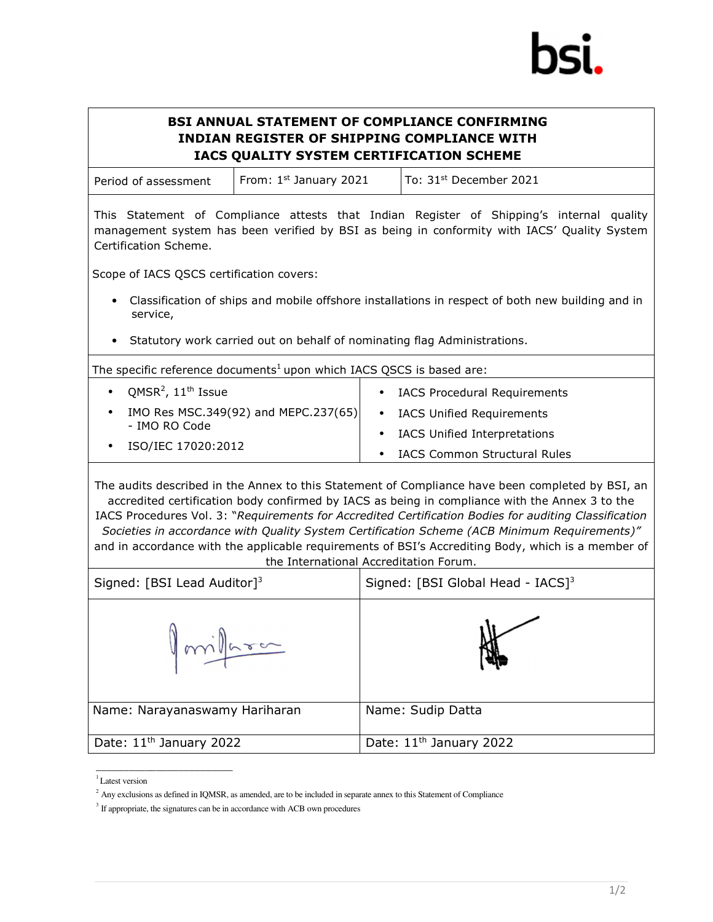## BSI ANNUAL STATEMENT OF COMPLIANCE CONFIRMING INDIAN REGISTER OF SHIPPING COMPLIANCE WITH IACS QUALITY SYSTEM CERTIFICATION SCHEME

| Period of assessment | From: $1st$ January 2021 | To: $31st$ December 2021 |  |
|----------------------|--------------------------|--------------------------|--|
|----------------------|--------------------------|--------------------------|--|

This Statement of Compliance attests that Indian Register of Shipping's internal quality management system has been verified by BSI as being in conformity with IACS' Quality System Certification Scheme.

Scope of IACS QSCS certification covers:

- Classification of ships and mobile offshore installations in respect of both new building and in service,
- Statutory work carried out on behalf of nominating flag Administrations.

The specific reference documents<sup>1</sup> upon which IACS QSCS is based are:

| QMSR <sup>2</sup> , $11^{\text{th}}$ Issue | <b>IACS Procedural Requirements</b> |
|--------------------------------------------|-------------------------------------|
| IMO Res MSC.349(92) and MEPC.237(65)       | • IACS Unified Requirements         |
| - IMO RO Code                              | IACS Unified Interpretations        |
| ISO/IEC 17020:2012                         | IACS Common Structural Rules        |

The audits described in the Annex to this Statement of Compliance have been completed by BSI, an accredited certification body confirmed by IACS as being in compliance with the Annex 3 to the IACS Procedures Vol. 3: "Requirements for Accredited Certification Bodies for auditing Classification Societies in accordance with Quality System Certification Scheme (ACB Minimum Requirements)" and in accordance with the applicable requirements of BSI's Accrediting Body, which is a member of the International Accreditation Forum.

| Signed: [BSI Lead Auditor] <sup>3</sup> | Signed: [BSI Global Head - IACS] <sup>3</sup> |  |
|-----------------------------------------|-----------------------------------------------|--|
| Imilara                                 |                                               |  |
| Name: Narayanaswamy Hariharan           | Name: Sudip Datta                             |  |
| Date: 11 <sup>th</sup> January 2022     | Date: 11 <sup>th</sup> January 2022           |  |

<sup>&</sup>lt;sup>1</sup> Latest version

\_\_\_\_\_\_\_\_\_\_\_\_\_\_\_\_\_\_\_\_\_\_\_\_\_

<sup>&</sup>lt;sup>2</sup> Any exclusions as defined in IQMSR, as amended, are to be included in separate annex to this Statement of Compliance

<sup>&</sup>lt;sup>3</sup> If appropriate, the signatures can be in accordance with ACB own procedures